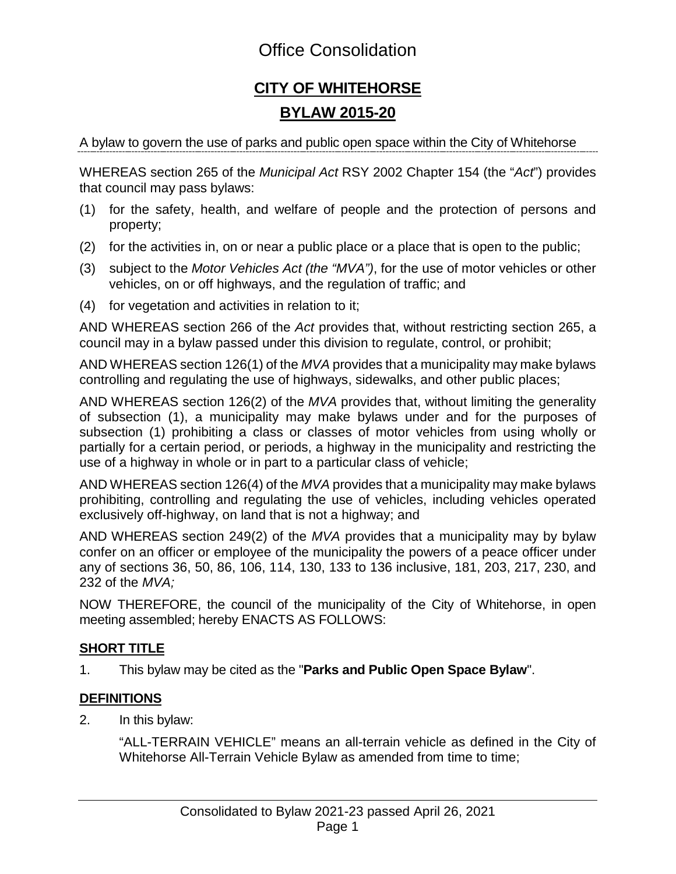### Office Consolidation

## **CITY OF WHITEHORSE BYLAW 2015-20**

A bylaw to govern the use of parks and public open space within the City of Whitehorse

WHEREAS section 265 of the *Municipal Act* RSY 2002 Chapter 154 (the "*Act*") provides that council may pass bylaws:

- (1) for the safety, health, and welfare of people and the protection of persons and property;
- (2) for the activities in, on or near a public place or a place that is open to the public;
- (3) subject to the *Motor Vehicles Act (the "MVA")*, for the use of motor vehicles or other vehicles, on or off highways, and the regulation of traffic; and
- (4) for vegetation and activities in relation to it;

AND WHEREAS section 266 of the *Act* provides that, without restricting section 265, a council may in a bylaw passed under this division to regulate, control, or prohibit;

AND WHEREAS section 126(1) of the *MVA* provides that a municipality may make bylaws controlling and regulating the use of highways, sidewalks, and other public places;

AND WHEREAS section 126(2) of the *MVA* provides that, without limiting the generality of subsection (1), a municipality may make bylaws under and for the purposes of subsection (1) prohibiting a class or classes of motor vehicles from using wholly or partially for a certain period, or periods, a highway in the municipality and restricting the use of a highway in whole or in part to a particular class of vehicle;

AND WHEREAS section 126(4) of the *MVA* provides that a municipality may make bylaws prohibiting, controlling and regulating the use of vehicles, including vehicles operated exclusively off-highway, on land that is not a highway; and

AND WHEREAS section 249(2) of the *MVA* provides that a municipality may by bylaw confer on an officer or employee of the municipality the powers of a peace officer under any of sections 36, 50, 86, 106, 114, 130, 133 to 136 inclusive, 181, 203, 217, 230, and 232 of the *MVA;*

NOW THEREFORE, the council of the municipality of the City of Whitehorse, in open meeting assembled; hereby ENACTS AS FOLLOWS:

### **SHORT TITLE**

1. This bylaw may be cited as the "**Parks and Public Open Space Bylaw**".

### **DEFINITIONS**

2. In this bylaw:

"ALL-TERRAIN VEHICLE" means an all-terrain vehicle as defined in the City of Whitehorse All-Terrain Vehicle Bylaw as amended from time to time;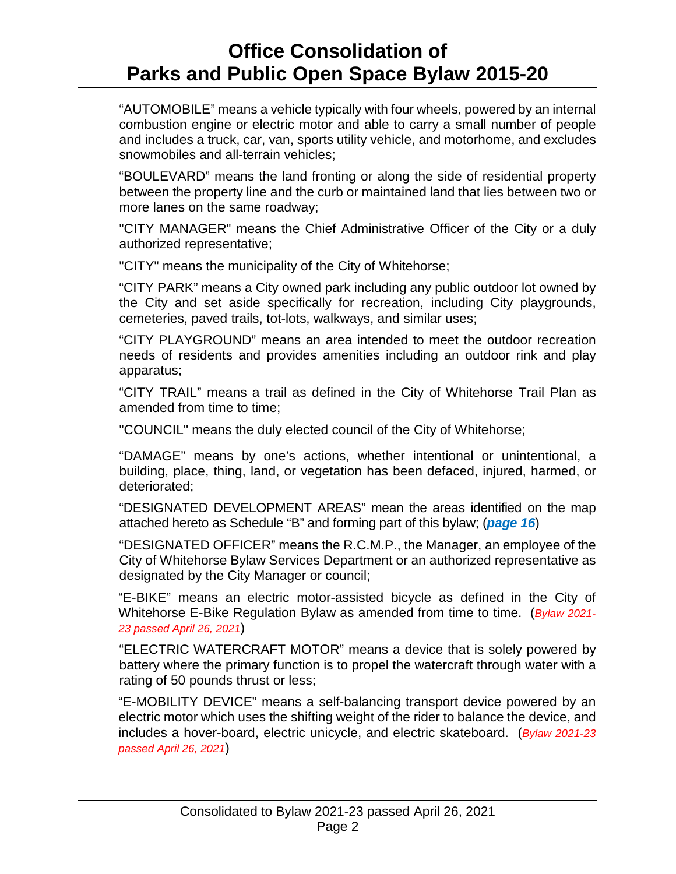"AUTOMOBILE" means a vehicle typically with four wheels, powered by an internal combustion engine or electric motor and able to carry a small number of people and includes a truck, car, van, sports utility vehicle, and motorhome, and excludes snowmobiles and all-terrain vehicles;

"BOULEVARD" means the land fronting or along the side of residential property between the property line and the curb or maintained land that lies between two or more lanes on the same roadway;

"CITY MANAGER" means the Chief Administrative Officer of the City or a duly authorized representative;

"CITY" means the municipality of the City of Whitehorse;

"CITY PARK" means a City owned park including any public outdoor lot owned by the City and set aside specifically for recreation, including City playgrounds, cemeteries, paved trails, tot-lots, walkways, and similar uses;

"CITY PLAYGROUND" means an area intended to meet the outdoor recreation needs of residents and provides amenities including an outdoor rink and play apparatus;

"CITY TRAIL" means a trail as defined in the City of Whitehorse Trail Plan as amended from time to time;

"COUNCIL" means the duly elected council of the City of Whitehorse;

"DAMAGE" means by one's actions, whether intentional or unintentional, a building, place, thing, land, or vegetation has been defaced, injured, harmed, or deteriorated;

"DESIGNATED DEVELOPMENT AREAS" mean the areas identified on the map attached hereto as Schedule "B" and forming part of this bylaw; (*page 16*)

"DESIGNATED OFFICER" means the R.C.M.P., the Manager, an employee of the City of Whitehorse Bylaw Services Department or an authorized representative as designated by the City Manager or council;

"E-BIKE" means an electric motor-assisted bicycle as defined in the City of Whitehorse E-Bike Regulation Bylaw as amended from time to time. (*Bylaw 2021- 23 passed April 26, 2021*)

"ELECTRIC WATERCRAFT MOTOR" means a device that is solely powered by battery where the primary function is to propel the watercraft through water with a rating of 50 pounds thrust or less;

"E-MOBILITY DEVICE" means a self-balancing transport device powered by an electric motor which uses the shifting weight of the rider to balance the device, and includes a hover-board, electric unicycle, and electric skateboard. (*Bylaw 2021-23 passed April 26, 2021*)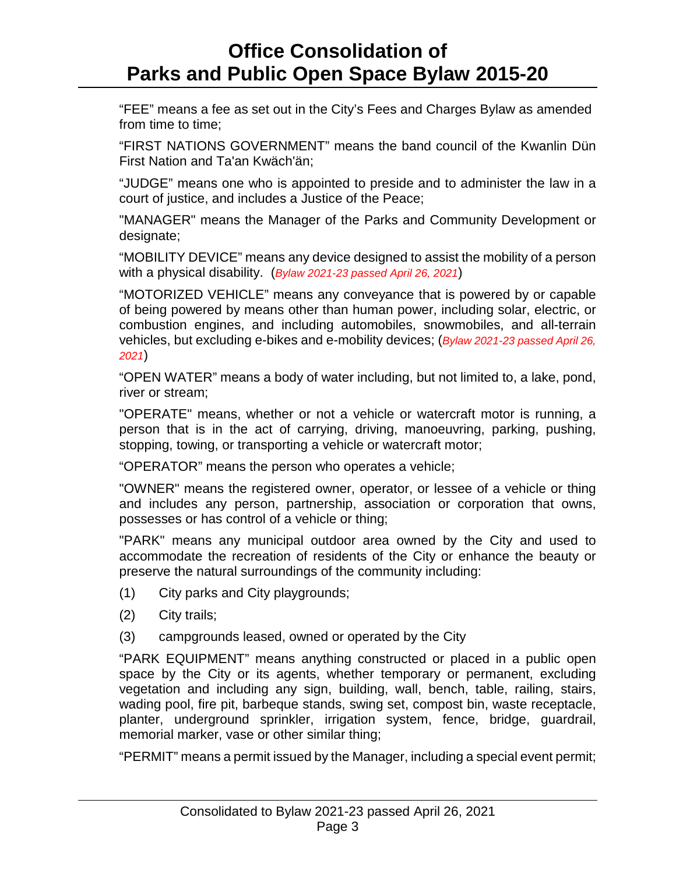"FEE" means a fee as set out in the City's Fees and Charges Bylaw as amended from time to time;

"FIRST NATIONS GOVERNMENT" means the band council of the Kwanlin Dün First Nation and Ta'an Kwäch'än;

"JUDGE" means one who is appointed to preside and to administer the law in a court of justice, and includes a Justice of the Peace;

"MANAGER" means the Manager of the Parks and Community Development or designate;

"MOBILITY DEVICE" means any device designed to assist the mobility of a person with a physical disability. (*Bylaw 2021-23 passed April 26, 2021*)

"MOTORIZED VEHICLE" means any conveyance that is powered by or capable of being powered by means other than human power, including solar, electric, or combustion engines, and including automobiles, snowmobiles, and all-terrain vehicles, but excluding e-bikes and e-mobility devices; (*Bylaw 2021-23 passed April 26, 2021*)

"OPEN WATER" means a body of water including, but not limited to, a lake, pond, river or stream;

"OPERATE" means, whether or not a vehicle or watercraft motor is running, a person that is in the act of carrying, driving, manoeuvring, parking, pushing, stopping, towing, or transporting a vehicle or watercraft motor;

"OPERATOR" means the person who operates a vehicle;

"OWNER" means the registered owner, operator, or lessee of a vehicle or thing and includes any person, partnership, association or corporation that owns, possesses or has control of a vehicle or thing;

"PARK" means any municipal outdoor area owned by the City and used to accommodate the recreation of residents of the City or enhance the beauty or preserve the natural surroundings of the community including:

- (1) City parks and City playgrounds;
- (2) City trails;
- (3) campgrounds leased, owned or operated by the City

"PARK EQUIPMENT" means anything constructed or placed in a public open space by the City or its agents, whether temporary or permanent, excluding vegetation and including any sign, building, wall, bench, table, railing, stairs, wading pool, fire pit, barbeque stands, swing set, compost bin, waste receptacle, planter, underground sprinkler, irrigation system, fence, bridge, guardrail, memorial marker, vase or other similar thing;

"PERMIT" means a permit issued by the Manager, including a special event permit;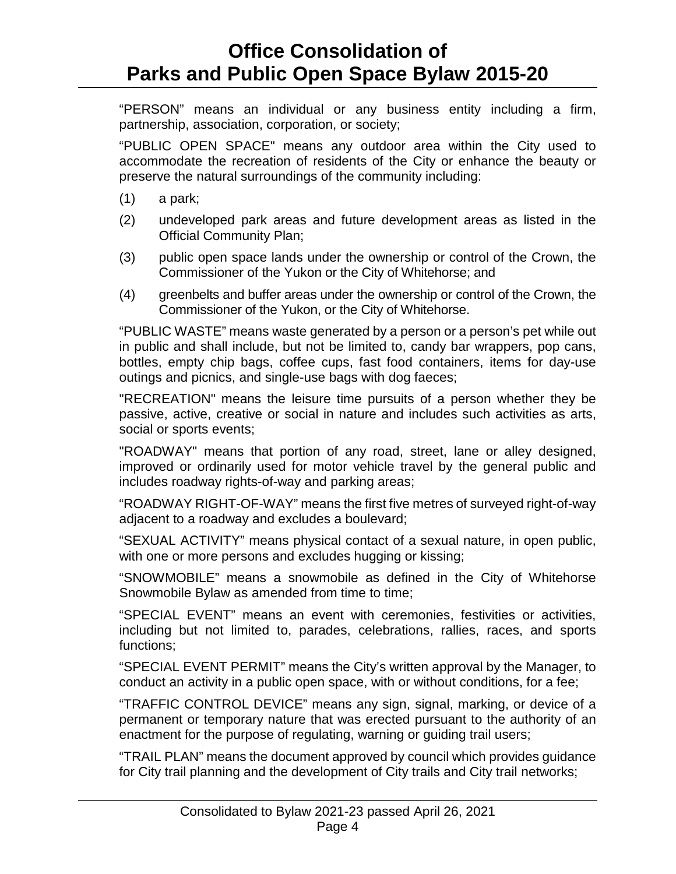"PERSON" means an individual or any business entity including a firm, partnership, association, corporation, or society;

"PUBLIC OPEN SPACE" means any outdoor area within the City used to accommodate the recreation of residents of the City or enhance the beauty or preserve the natural surroundings of the community including:

- (1) a park;
- (2) undeveloped park areas and future development areas as listed in the Official Community Plan;
- (3) public open space lands under the ownership or control of the Crown, the Commissioner of the Yukon or the City of Whitehorse; and
- (4) greenbelts and buffer areas under the ownership or control of the Crown, the Commissioner of the Yukon, or the City of Whitehorse.

"PUBLIC WASTE" means waste generated by a person or a person's pet while out in public and shall include, but not be limited to, candy bar wrappers, pop cans, bottles, empty chip bags, coffee cups, fast food containers, items for day-use outings and picnics, and single-use bags with dog faeces;

"RECREATION" means the leisure time pursuits of a person whether they be passive, active, creative or social in nature and includes such activities as arts, social or sports events;

"ROADWAY" means that portion of any road, street, lane or alley designed, improved or ordinarily used for motor vehicle travel by the general public and includes roadway rights-of-way and parking areas;

"ROADWAY RIGHT-OF-WAY" means the first five metres of surveyed right-of-way adjacent to a roadway and excludes a boulevard;

"SEXUAL ACTIVITY" means physical contact of a sexual nature, in open public, with one or more persons and excludes hugging or kissing;

"SNOWMOBILE" means a snowmobile as defined in the City of Whitehorse Snowmobile Bylaw as amended from time to time;

"SPECIAL EVENT" means an event with ceremonies, festivities or activities, including but not limited to, parades, celebrations, rallies, races, and sports functions;

"SPECIAL EVENT PERMIT" means the City's written approval by the Manager, to conduct an activity in a public open space, with or without conditions, for a fee;

"TRAFFIC CONTROL DEVICE" means any sign, signal, marking, or device of a permanent or temporary nature that was erected pursuant to the authority of an enactment for the purpose of regulating, warning or guiding trail users;

"TRAIL PLAN" means the document approved by council which provides guidance for City trail planning and the development of City trails and City trail networks;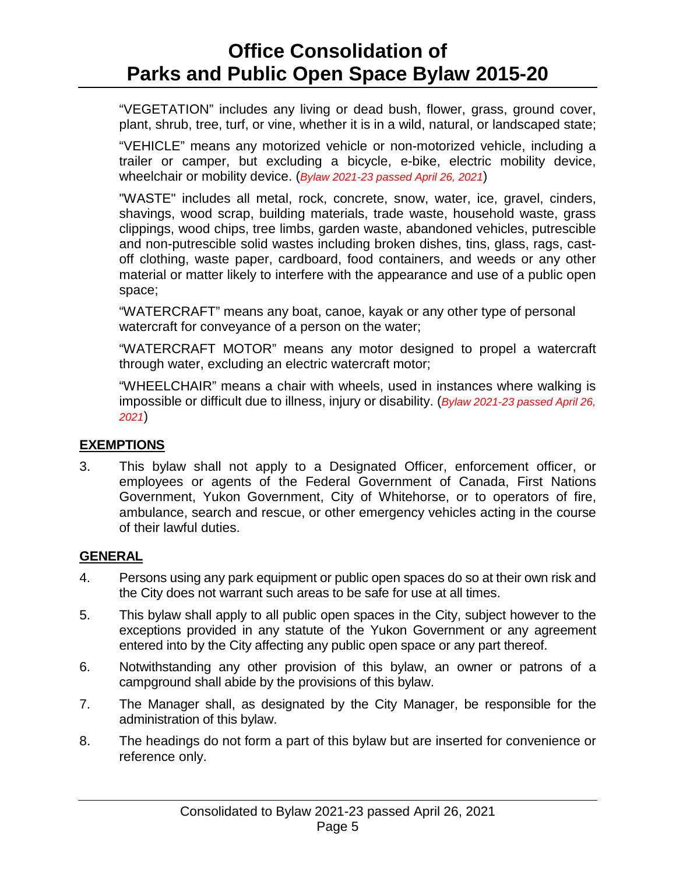"VEGETATION" includes any living or dead bush, flower, grass, ground cover, plant, shrub, tree, turf, or vine, whether it is in a wild, natural, or landscaped state;

"VEHICLE" means any motorized vehicle or non-motorized vehicle, including a trailer or camper, but excluding a bicycle, e-bike, electric mobility device, wheelchair or mobility device. (*Bylaw 2021-23 passed April 26, 2021*)

"WASTE" includes all metal, rock, concrete, snow, water, ice, gravel, cinders, shavings, wood scrap, building materials, trade waste, household waste, grass clippings, wood chips, tree limbs, garden waste, abandoned vehicles, putrescible and non-putrescible solid wastes including broken dishes, tins, glass, rags, castoff clothing, waste paper, cardboard, food containers, and weeds or any other material or matter likely to interfere with the appearance and use of a public open space;

"WATERCRAFT" means any boat, canoe, kayak or any other type of personal watercraft for conveyance of a person on the water;

"WATERCRAFT MOTOR" means any motor designed to propel a watercraft through water, excluding an electric watercraft motor;

"WHEELCHAIR" means a chair with wheels, used in instances where walking is impossible or difficult due to illness, injury or disability. (*Bylaw 2021-23 passed April 26, 2021*)

### **EXEMPTIONS**

3. This bylaw shall not apply to a Designated Officer, enforcement officer, or employees or agents of the Federal Government of Canada, First Nations Government, Yukon Government, City of Whitehorse, or to operators of fire, ambulance, search and rescue, or other emergency vehicles acting in the course of their lawful duties.

### **GENERAL**

- 4. Persons using any park equipment or public open spaces do so at their own risk and the City does not warrant such areas to be safe for use at all times.
- 5. This bylaw shall apply to all public open spaces in the City, subject however to the exceptions provided in any statute of the Yukon Government or any agreement entered into by the City affecting any public open space or any part thereof.
- 6. Notwithstanding any other provision of this bylaw, an owner or patrons of a campground shall abide by the provisions of this bylaw.
- 7. The Manager shall, as designated by the City Manager, be responsible for the administration of this bylaw.
- 8. The headings do not form a part of this bylaw but are inserted for convenience or reference only.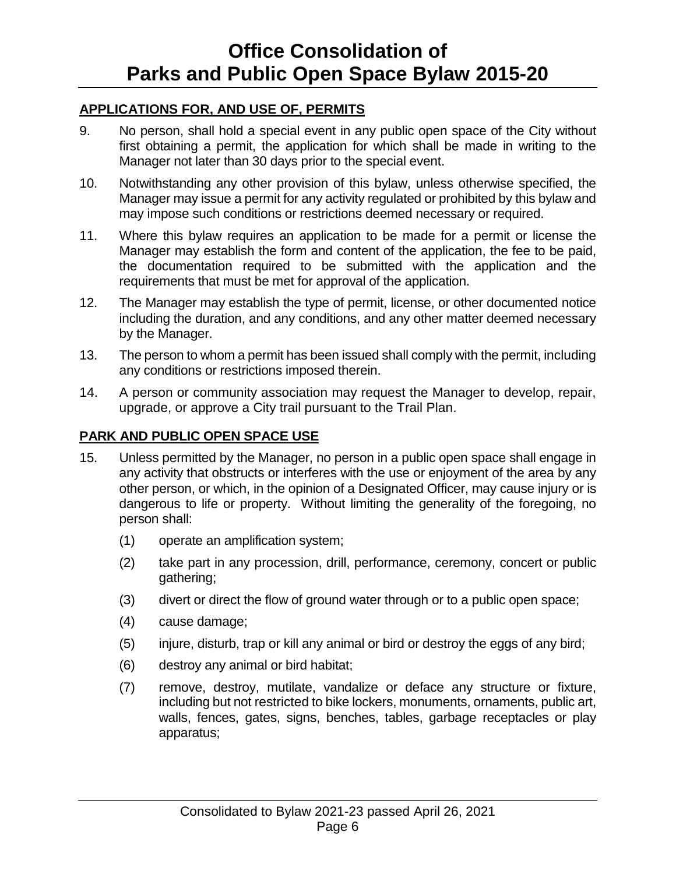### **APPLICATIONS FOR, AND USE OF, PERMITS**

- 9. No person, shall hold a special event in any public open space of the City without first obtaining a permit, the application for which shall be made in writing to the Manager not later than 30 days prior to the special event.
- 10. Notwithstanding any other provision of this bylaw, unless otherwise specified, the Manager may issue a permit for any activity regulated or prohibited by this bylaw and may impose such conditions or restrictions deemed necessary or required.
- 11. Where this bylaw requires an application to be made for a permit or license the Manager may establish the form and content of the application, the fee to be paid, the documentation required to be submitted with the application and the requirements that must be met for approval of the application.
- 12. The Manager may establish the type of permit, license, or other documented notice including the duration, and any conditions, and any other matter deemed necessary by the Manager.
- 13. The person to whom a permit has been issued shall comply with the permit, including any conditions or restrictions imposed therein.
- 14. A person or community association may request the Manager to develop, repair, upgrade, or approve a City trail pursuant to the Trail Plan.

### **PARK AND PUBLIC OPEN SPACE USE**

- 15. Unless permitted by the Manager, no person in a public open space shall engage in any activity that obstructs or interferes with the use or enjoyment of the area by any other person, or which, in the opinion of a Designated Officer, may cause injury or is dangerous to life or property. Without limiting the generality of the foregoing, no person shall:
	- (1) operate an amplification system;
	- (2) take part in any procession, drill, performance, ceremony, concert or public gathering;
	- (3) divert or direct the flow of ground water through or to a public open space;
	- (4) cause damage;
	- (5) injure, disturb, trap or kill any animal or bird or destroy the eggs of any bird;
	- (6) destroy any animal or bird habitat;
	- (7) remove, destroy, mutilate, vandalize or deface any structure or fixture, including but not restricted to bike lockers, monuments, ornaments, public art, walls, fences, gates, signs, benches, tables, garbage receptacles or play apparatus;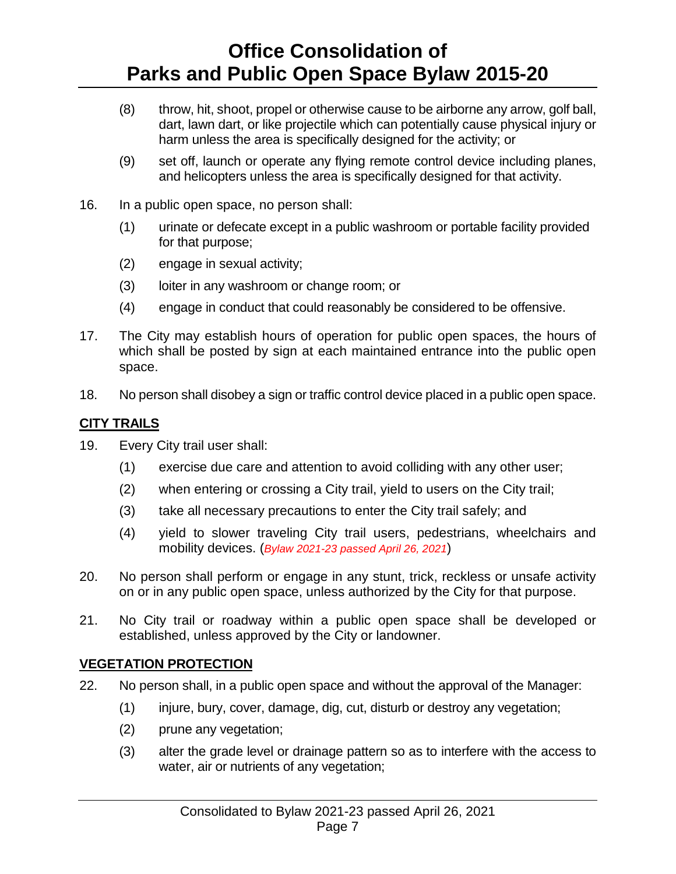- (8) throw, hit, shoot, propel or otherwise cause to be airborne any arrow, golf ball, dart, lawn dart, or like projectile which can potentially cause physical injury or harm unless the area is specifically designed for the activity; or
- (9) set off, launch or operate any flying remote control device including planes, and helicopters unless the area is specifically designed for that activity.
- 16. In a public open space, no person shall:
	- (1) urinate or defecate except in a public washroom or portable facility provided for that purpose;
	- (2) engage in sexual activity;
	- (3) loiter in any washroom or change room; or
	- (4) engage in conduct that could reasonably be considered to be offensive.
- 17. The City may establish hours of operation for public open spaces, the hours of which shall be posted by sign at each maintained entrance into the public open space.
- 18. No person shall disobey a sign or traffic control device placed in a public open space.

### **CITY TRAILS**

- 19. Every City trail user shall:
	- (1) exercise due care and attention to avoid colliding with any other user;
	- (2) when entering or crossing a City trail, yield to users on the City trail;
	- (3) take all necessary precautions to enter the City trail safely; and
	- (4) yield to slower traveling City trail users, pedestrians, wheelchairs and mobility devices. (*Bylaw 2021-23 passed April 26, 2021*)
- 20. No person shall perform or engage in any stunt, trick, reckless or unsafe activity on or in any public open space, unless authorized by the City for that purpose.
- 21. No City trail or roadway within a public open space shall be developed or established, unless approved by the City or landowner.

### **VEGETATION PROTECTION**

- 22. No person shall, in a public open space and without the approval of the Manager:
	- (1) injure, bury, cover, damage, dig, cut, disturb or destroy any vegetation;
	- (2) prune any vegetation;
	- (3) alter the grade level or drainage pattern so as to interfere with the access to water, air or nutrients of any vegetation;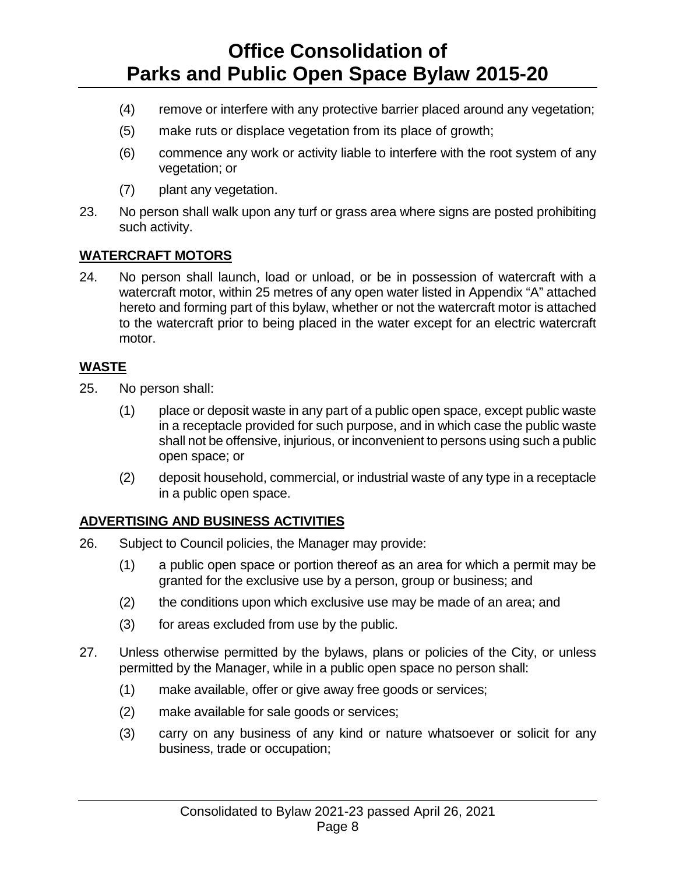- (4) remove or interfere with any protective barrier placed around any vegetation;
- (5) make ruts or displace vegetation from its place of growth;
- (6) commence any work or activity liable to interfere with the root system of any vegetation; or
- (7) plant any vegetation.
- 23. No person shall walk upon any turf or grass area where signs are posted prohibiting such activity.

### **WATERCRAFT MOTORS**

24. No person shall launch, load or unload, or be in possession of watercraft with a watercraft motor, within 25 metres of any open water listed in Appendix "A" attached hereto and forming part of this bylaw, whether or not the watercraft motor is attached to the watercraft prior to being placed in the water except for an electric watercraft motor.

#### **WASTE**

- 25. No person shall:
	- (1) place or deposit waste in any part of a public open space, except public waste in a receptacle provided for such purpose, and in which case the public waste shall not be offensive, injurious, or inconvenient to persons using such a public open space; or
	- (2) deposit household, commercial, or industrial waste of any type in a receptacle in a public open space.

### **ADVERTISING AND BUSINESS ACTIVITIES**

- 26. Subject to Council policies, the Manager may provide:
	- (1) a public open space or portion thereof as an area for which a permit may be granted for the exclusive use by a person, group or business; and
	- (2) the conditions upon which exclusive use may be made of an area; and
	- (3) for areas excluded from use by the public.
- 27. Unless otherwise permitted by the bylaws, plans or policies of the City, or unless permitted by the Manager, while in a public open space no person shall:
	- (1) make available, offer or give away free goods or services;
	- (2) make available for sale goods or services;
	- (3) carry on any business of any kind or nature whatsoever or solicit for any business, trade or occupation;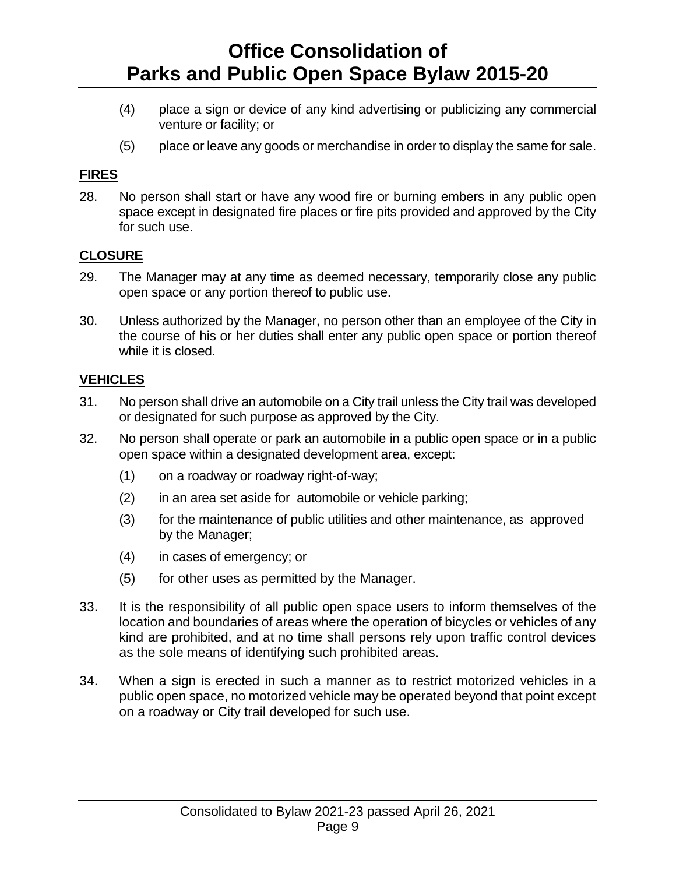- (4) place a sign or device of any kind advertising or publicizing any commercial venture or facility; or
- (5) place or leave any goods or merchandise in order to display the same for sale.

#### **FIRES**

28. No person shall start or have any wood fire or burning embers in any public open space except in designated fire places or fire pits provided and approved by the City for such use.

### **CLOSURE**

- 29. The Manager may at any time as deemed necessary, temporarily close any public open space or any portion thereof to public use.
- 30. Unless authorized by the Manager, no person other than an employee of the City in the course of his or her duties shall enter any public open space or portion thereof while it is closed.

### **VEHICLES**

- 31. No person shall drive an automobile on a City trail unless the City trail was developed or designated for such purpose as approved by the City.
- 32. No person shall operate or park an automobile in a public open space or in a public open space within a designated development area, except:
	- (1) on a roadway or roadway right-of-way;
	- (2) in an area set aside for automobile or vehicle parking;
	- (3) for the maintenance of public utilities and other maintenance, as approved by the Manager;
	- (4) in cases of emergency; or
	- (5) for other uses as permitted by the Manager.
- 33. It is the responsibility of all public open space users to inform themselves of the location and boundaries of areas where the operation of bicycles or vehicles of any kind are prohibited, and at no time shall persons rely upon traffic control devices as the sole means of identifying such prohibited areas.
- 34. When a sign is erected in such a manner as to restrict motorized vehicles in a public open space, no motorized vehicle may be operated beyond that point except on a roadway or City trail developed for such use.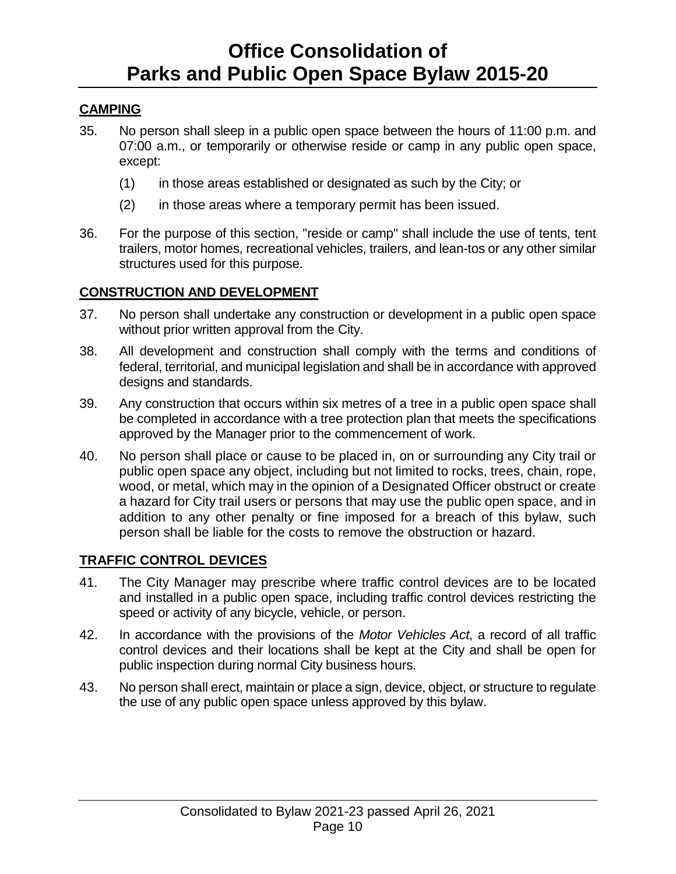### **CAMPING**

- 35. No person shall sleep in a public open space between the hours of 11:00 p.m. and 07:00 a.m., or temporarily or otherwise reside or camp in any public open space, except:
	- (1) in those areas established or designated as such by the City; or
	- (2) in those areas where a temporary permit has been issued.
- 36. For the purpose of this section, "reside or camp" shall include the use of tents, tent trailers, motor homes, recreational vehicles, trailers, and lean-tos or any other similar structures used for this purpose.

#### **CONSTRUCTION AND DEVELOPMENT**

- 37. No person shall undertake any construction or development in a public open space without prior written approval from the City.
- 38. All development and construction shall comply with the terms and conditions of federal, territorial, and municipal legislation and shall be in accordance with approved designs and standards.
- 39. Any construction that occurs within six metres of a tree in a public open space shall be completed in accordance with a tree protection plan that meets the specifications approved by the Manager prior to the commencement of work.
- 40. No person shall place or cause to be placed in, on or surrounding any City trail or public open space any object, including but not limited to rocks, trees, chain, rope, wood, or metal, which may in the opinion of a Designated Officer obstruct or create a hazard for City trail users or persons that may use the public open space, and in addition to any other penalty or fine imposed for a breach of this bylaw, such person shall be liable for the costs to remove the obstruction or hazard.

### **TRAFFIC CONTROL DEVICES**

- 41. The City Manager may prescribe where traffic control devices are to be located and installed in a public open space, including traffic control devices restricting the speed or activity of any bicycle, vehicle, or person.
- 42. In accordance with the provisions of the *Motor Vehicles Act*, a record of all traffic control devices and their locations shall be kept at the City and shall be open for public inspection during normal City business hours.
- 43. No person shall erect, maintain or place a sign, device, object, or structure to regulate the use of any public open space unless approved by this bylaw.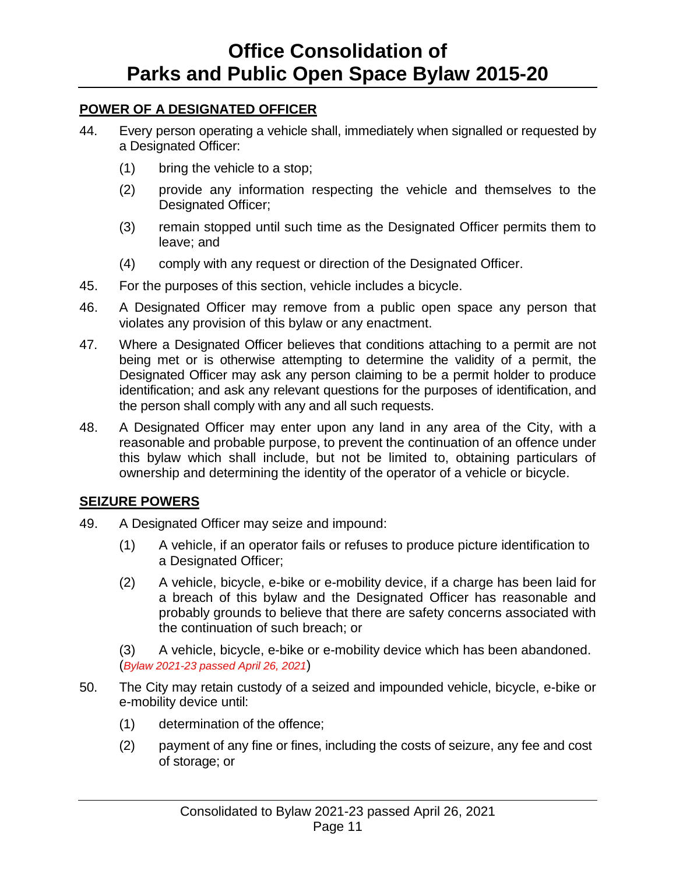### **POWER OF A DESIGNATED OFFICER**

- 44. Every person operating a vehicle shall, immediately when signalled or requested by a Designated Officer:
	- (1) bring the vehicle to a stop;
	- (2) provide any information respecting the vehicle and themselves to the Designated Officer;
	- (3) remain stopped until such time as the Designated Officer permits them to leave; and
	- (4) comply with any request or direction of the Designated Officer.
- 45. For the purposes of this section, vehicle includes a bicycle.
- 46. A Designated Officer may remove from a public open space any person that violates any provision of this bylaw or any enactment.
- 47. Where a Designated Officer believes that conditions attaching to a permit are not being met or is otherwise attempting to determine the validity of a permit, the Designated Officer may ask any person claiming to be a permit holder to produce identification; and ask any relevant questions for the purposes of identification, and the person shall comply with any and all such requests.
- 48. A Designated Officer may enter upon any land in any area of the City, with a reasonable and probable purpose, to prevent the continuation of an offence under this bylaw which shall include, but not be limited to, obtaining particulars of ownership and determining the identity of the operator of a vehicle or bicycle.

### **SEIZURE POWERS**

- 49. A Designated Officer may seize and impound:
	- (1) A vehicle, if an operator fails or refuses to produce picture identification to a Designated Officer;
	- (2) A vehicle, bicycle, e-bike or e-mobility device, if a charge has been laid for a breach of this bylaw and the Designated Officer has reasonable and probably grounds to believe that there are safety concerns associated with the continuation of such breach; or

(3) A vehicle, bicycle, e-bike or e-mobility device which has been abandoned. (*Bylaw 2021-23 passed April 26, 2021*)

- 50. The City may retain custody of a seized and impounded vehicle, bicycle, e-bike or e-mobility device until:
	- (1) determination of the offence;
	- (2) payment of any fine or fines, including the costs of seizure, any fee and cost of storage; or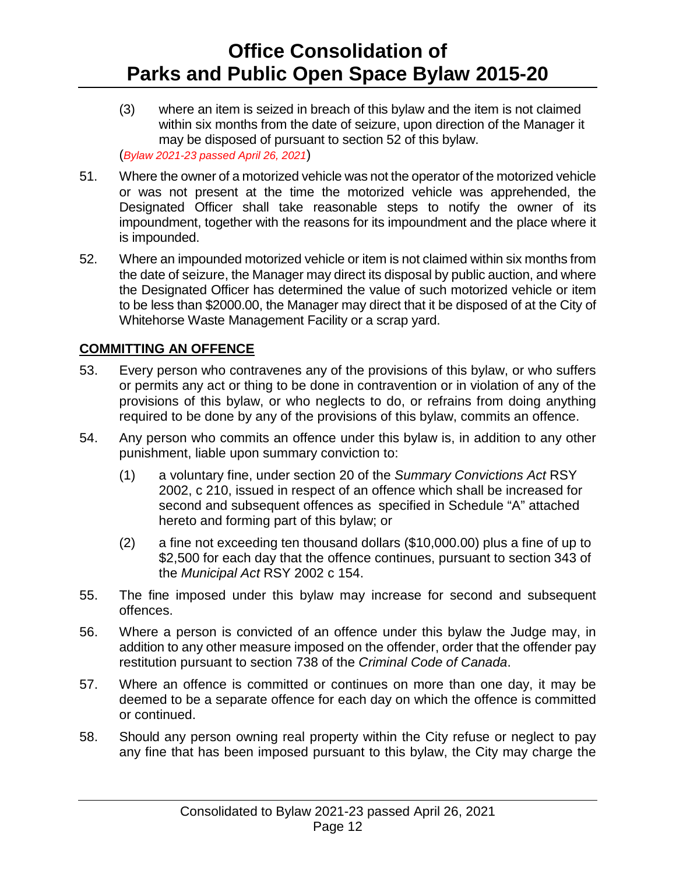- (3) where an item is seized in breach of this bylaw and the item is not claimed within six months from the date of seizure, upon direction of the Manager it may be disposed of pursuant to section 52 of this bylaw. (*Bylaw 2021-23 passed April 26, 2021*)
- 51. Where the owner of a motorized vehicle was not the operator of the motorized vehicle or was not present at the time the motorized vehicle was apprehended, the Designated Officer shall take reasonable steps to notify the owner of its impoundment, together with the reasons for its impoundment and the place where it is impounded.
- 52. Where an impounded motorized vehicle or item is not claimed within six months from the date of seizure, the Manager may direct its disposal by public auction, and where the Designated Officer has determined the value of such motorized vehicle or item to be less than \$2000.00, the Manager may direct that it be disposed of at the City of Whitehorse Waste Management Facility or a scrap yard.

### **COMMITTING AN OFFENCE**

- 53. Every person who contravenes any of the provisions of this bylaw, or who suffers or permits any act or thing to be done in contravention or in violation of any of the provisions of this bylaw, or who neglects to do, or refrains from doing anything required to be done by any of the provisions of this bylaw, commits an offence.
- 54. Any person who commits an offence under this bylaw is, in addition to any other punishment, liable upon summary conviction to:
	- (1) a voluntary fine, under section 20 of the *Summary Convictions Act* RSY 2002, c 210, issued in respect of an offence which shall be increased for second and subsequent offences as specified in Schedule "A" attached hereto and forming part of this bylaw; or
	- (2) a fine not exceeding ten thousand dollars (\$10,000.00) plus a fine of up to \$2,500 for each day that the offence continues, pursuant to section 343 of the *Municipal Act* RSY 2002 c 154.
- 55. The fine imposed under this bylaw may increase for second and subsequent offences.
- 56. Where a person is convicted of an offence under this bylaw the Judge may, in addition to any other measure imposed on the offender, order that the offender pay restitution pursuant to section 738 of the *Criminal Code of Canada*.
- 57. Where an offence is committed or continues on more than one day, it may be deemed to be a separate offence for each day on which the offence is committed or continued.
- 58. Should any person owning real property within the City refuse or neglect to pay any fine that has been imposed pursuant to this bylaw, the City may charge the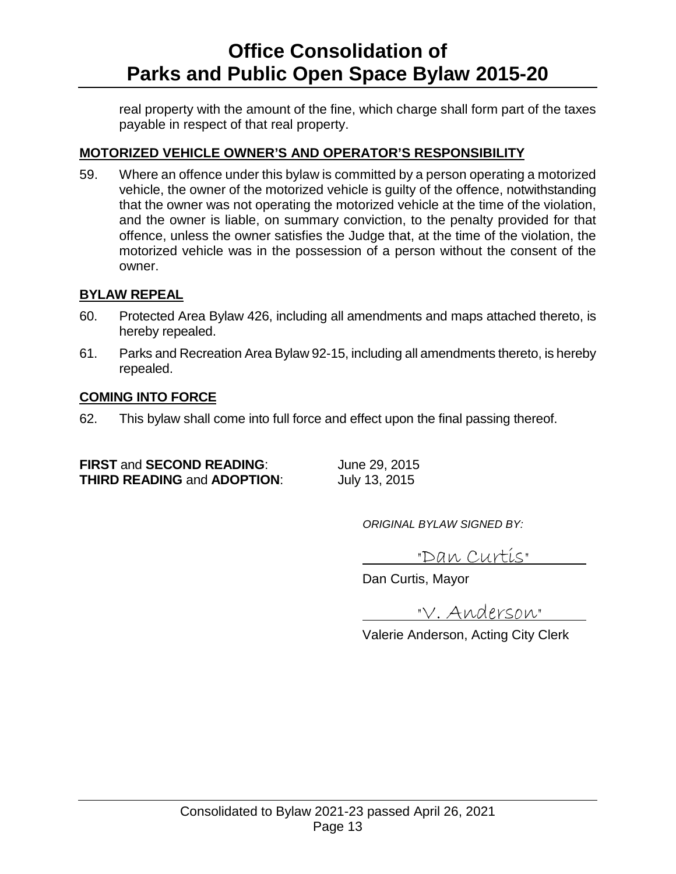real property with the amount of the fine, which charge shall form part of the taxes payable in respect of that real property.

### **MOTORIZED VEHICLE OWNER'S AND OPERATOR'S RESPONSIBILITY**

59. Where an offence under this bylaw is committed by a person operating a motorized vehicle, the owner of the motorized vehicle is guilty of the offence, notwithstanding that the owner was not operating the motorized vehicle at the time of the violation, and the owner is liable, on summary conviction, to the penalty provided for that offence, unless the owner satisfies the Judge that, at the time of the violation, the motorized vehicle was in the possession of a person without the consent of the owner.

### **BYLAW REPEAL**

- 60. Protected Area Bylaw 426, including all amendments and maps attached thereto, is hereby repealed.
- 61. Parks and Recreation Area Bylaw 92-15, including all amendments thereto, is hereby repealed.

#### **COMING INTO FORCE**

62. This bylaw shall come into full force and effect upon the final passing thereof.

**FIRST** and **SECOND READING**: June 29, 2015<br> **THIRD READING** and **ADOPTION**: July 13, 2015 **THIRD READING and ADOPTION:** 

*ORIGINAL BYLAW SIGNED BY:*

"Dan Curtis"

Dan Curtis, Mayor

"V. Anderson"

Valerie Anderson, Acting City Clerk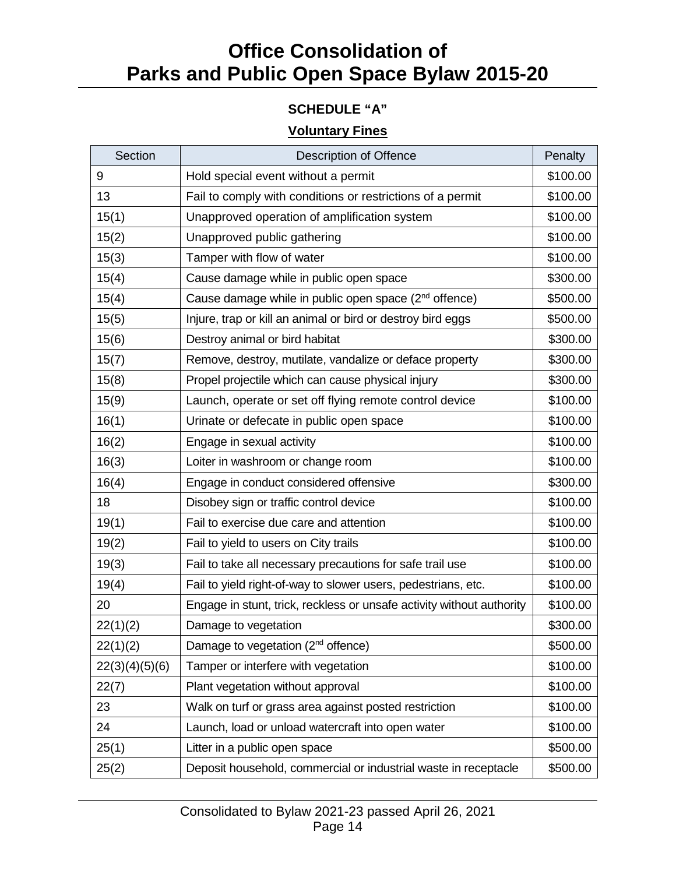### **SCHEDULE "A"**

### **Voluntary Fines**

| Section        | <b>Description of Offence</b>                                         | Penalty  |
|----------------|-----------------------------------------------------------------------|----------|
| 9              | Hold special event without a permit                                   | \$100.00 |
| 13             | Fail to comply with conditions or restrictions of a permit            | \$100.00 |
| 15(1)          | Unapproved operation of amplification system                          | \$100.00 |
| 15(2)          | Unapproved public gathering                                           | \$100.00 |
| 15(3)          | Tamper with flow of water                                             | \$100.00 |
| 15(4)          | Cause damage while in public open space                               | \$300.00 |
| 15(4)          | Cause damage while in public open space (2 <sup>nd</sup> offence)     | \$500.00 |
| 15(5)          | Injure, trap or kill an animal or bird or destroy bird eggs           | \$500.00 |
| 15(6)          | Destroy animal or bird habitat                                        | \$300.00 |
| 15(7)          | Remove, destroy, mutilate, vandalize or deface property               | \$300.00 |
| 15(8)          | Propel projectile which can cause physical injury                     | \$300.00 |
| 15(9)          | Launch, operate or set off flying remote control device               | \$100.00 |
| 16(1)          | Urinate or defecate in public open space                              | \$100.00 |
| 16(2)          | Engage in sexual activity                                             | \$100.00 |
| 16(3)          | Loiter in washroom or change room                                     | \$100.00 |
| 16(4)          | Engage in conduct considered offensive                                | \$300.00 |
| 18             | Disobey sign or traffic control device                                | \$100.00 |
| 19(1)          | Fail to exercise due care and attention                               | \$100.00 |
| 19(2)          | Fail to yield to users on City trails                                 | \$100.00 |
| 19(3)          | Fail to take all necessary precautions for safe trail use             | \$100.00 |
| 19(4)          | Fail to yield right-of-way to slower users, pedestrians, etc.         | \$100.00 |
| 20             | Engage in stunt, trick, reckless or unsafe activity without authority | \$100.00 |
| 22(1)(2)       | Damage to vegetation                                                  | \$300.00 |
| 22(1)(2)       | Damage to vegetation (2 <sup>nd</sup> offence)                        | \$500.00 |
| 22(3)(4)(5)(6) | Tamper or interfere with vegetation                                   | \$100.00 |
| 22(7)          | Plant vegetation without approval                                     | \$100.00 |
| 23             | Walk on turf or grass area against posted restriction                 | \$100.00 |
| 24             | Launch, load or unload watercraft into open water                     | \$100.00 |
| 25(1)          | Litter in a public open space                                         | \$500.00 |
| 25(2)          | Deposit household, commercial or industrial waste in receptacle       | \$500.00 |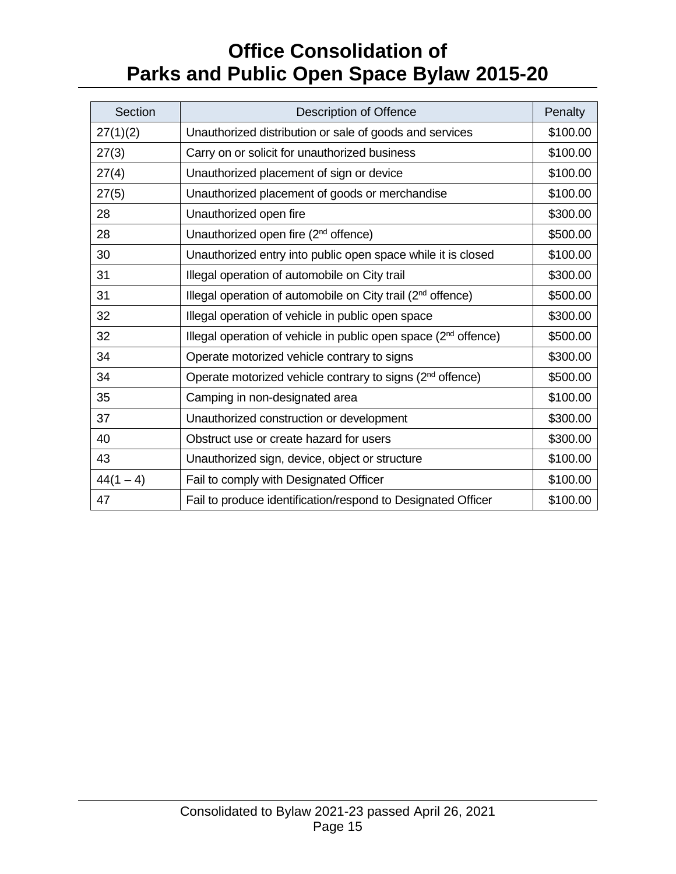| Section     | <b>Description of Offence</b>                                               | Penalty  |
|-------------|-----------------------------------------------------------------------------|----------|
| 27(1)(2)    | Unauthorized distribution or sale of goods and services                     | \$100.00 |
| 27(3)       | Carry on or solicit for unauthorized business                               | \$100.00 |
| 27(4)       | Unauthorized placement of sign or device                                    | \$100.00 |
| 27(5)       | Unauthorized placement of goods or merchandise                              | \$100.00 |
| 28          | Unauthorized open fire                                                      | \$300.00 |
| 28          | Unauthorized open fire (2 <sup>nd</sup> offence)                            | \$500.00 |
| 30          | Unauthorized entry into public open space while it is closed                | \$100.00 |
| 31          | Illegal operation of automobile on City trail                               | \$300.00 |
| 31          | Illegal operation of automobile on City trail (2 <sup>nd</sup> offence)     | \$500.00 |
| 32          | Illegal operation of vehicle in public open space                           | \$300.00 |
| 32          | Illegal operation of vehicle in public open space (2 <sup>nd</sup> offence) | \$500.00 |
| 34          | Operate motorized vehicle contrary to signs                                 | \$300.00 |
| 34          | Operate motorized vehicle contrary to signs (2 <sup>nd</sup> offence)       | \$500.00 |
| 35          | Camping in non-designated area                                              | \$100.00 |
| 37          | Unauthorized construction or development                                    | \$300.00 |
| 40          | Obstruct use or create hazard for users                                     | \$300.00 |
| 43          | Unauthorized sign, device, object or structure                              | \$100.00 |
| $44(1 - 4)$ | Fail to comply with Designated Officer                                      | \$100.00 |
| 47          | Fail to produce identification/respond to Designated Officer                | \$100.00 |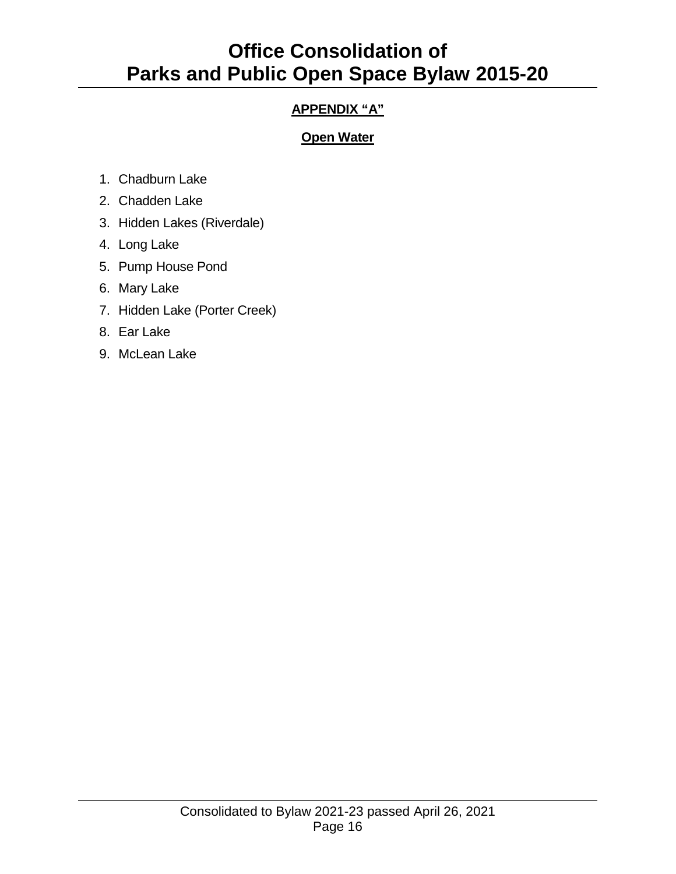### **APPENDIX "A"**

### **Open Water**

- 1. Chadburn Lake
- 2. Chadden Lake
- 3. Hidden Lakes (Riverdale)
- 4. Long Lake
- 5. Pump House Pond
- 6. Mary Lake
- 7. Hidden Lake (Porter Creek)
- 8. Ear Lake
- 9. McLean Lake